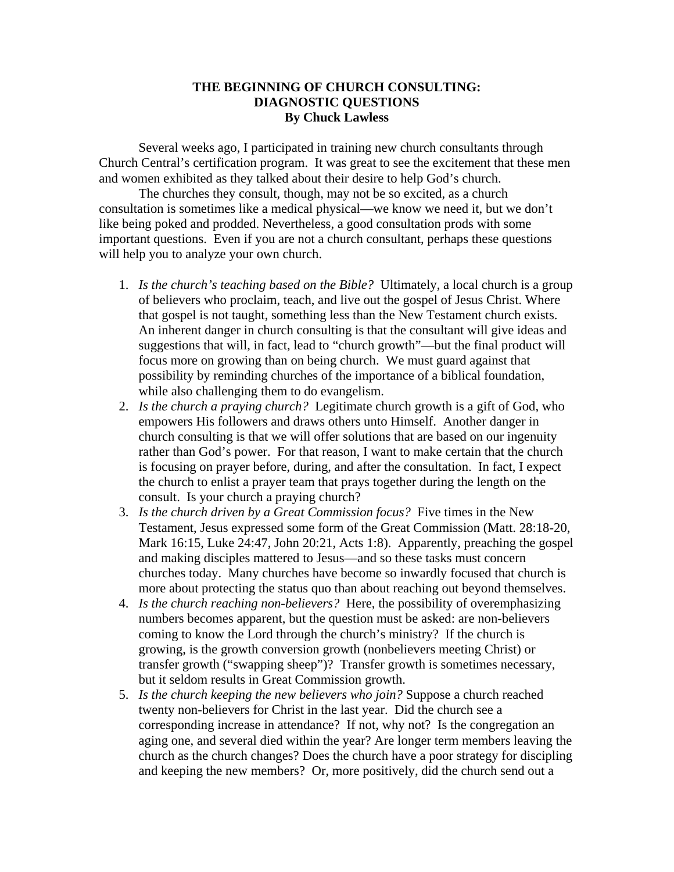## **THE BEGINNING OF CHURCH CONSULTING: DIAGNOSTIC QUESTIONS By Chuck Lawless**

Several weeks ago, I participated in training new church consultants through Church Central's certification program. It was great to see the excitement that these men and women exhibited as they talked about their desire to help God's church.

The churches they consult, though, may not be so excited, as a church consultation is sometimes like a medical physical—we know we need it, but we don't like being poked and prodded. Nevertheless, a good consultation prods with some important questions. Even if you are not a church consultant, perhaps these questions will help you to analyze your own church.

- 1. *Is the church's teaching based on the Bible?* Ultimately, a local church is a group of believers who proclaim, teach, and live out the gospel of Jesus Christ. Where that gospel is not taught, something less than the New Testament church exists. An inherent danger in church consulting is that the consultant will give ideas and suggestions that will, in fact, lead to "church growth"—but the final product will focus more on growing than on being church. We must guard against that possibility by reminding churches of the importance of a biblical foundation, while also challenging them to do evangelism.
- 2. *Is the church a praying church?* Legitimate church growth is a gift of God, who empowers His followers and draws others unto Himself. Another danger in church consulting is that we will offer solutions that are based on our ingenuity rather than God's power. For that reason, I want to make certain that the church is focusing on prayer before, during, and after the consultation. In fact, I expect the church to enlist a prayer team that prays together during the length on the consult. Is your church a praying church?
- 3. *Is the church driven by a Great Commission focus?* Five times in the New Testament, Jesus expressed some form of the Great Commission (Matt. 28:18-20, Mark 16:15, Luke 24:47, John 20:21, Acts 1:8). Apparently, preaching the gospel and making disciples mattered to Jesus—and so these tasks must concern churches today. Many churches have become so inwardly focused that church is more about protecting the status quo than about reaching out beyond themselves.
- 4. *Is the church reaching non-believers?* Here, the possibility of overemphasizing numbers becomes apparent, but the question must be asked: are non-believers coming to know the Lord through the church's ministry? If the church is growing, is the growth conversion growth (nonbelievers meeting Christ) or transfer growth ("swapping sheep")? Transfer growth is sometimes necessary, but it seldom results in Great Commission growth.
- 5. *Is the church keeping the new believers who join?* Suppose a church reached twenty non-believers for Christ in the last year. Did the church see a corresponding increase in attendance? If not, why not? Is the congregation an aging one, and several died within the year? Are longer term members leaving the church as the church changes? Does the church have a poor strategy for discipling and keeping the new members? Or, more positively, did the church send out a